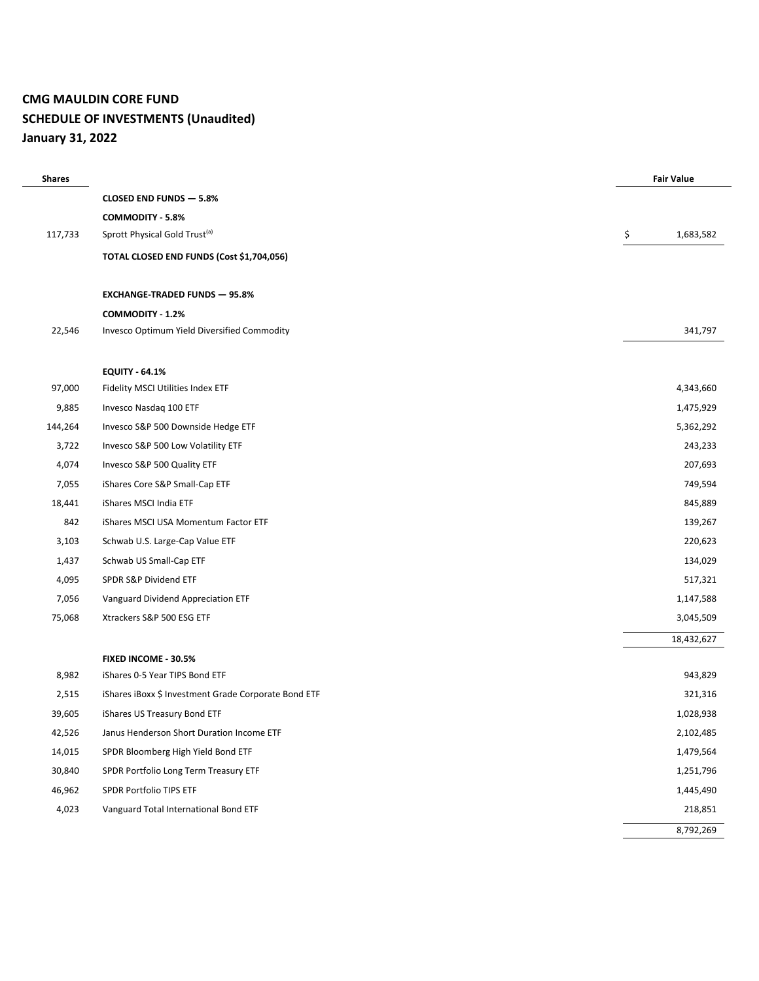## **CMG MAULDIN CORE FUND SCHEDULE OF INVESTMENTS (Unaudited) January 31, 2022**

| <b>Shares</b> |                                                      | <b>Fair Value</b> |
|---------------|------------------------------------------------------|-------------------|
|               | CLOSED END FUNDS - 5.8%                              |                   |
|               | <b>COMMODITY - 5.8%</b>                              |                   |
| 117,733       | Sprott Physical Gold Trust <sup>(a)</sup>            | \$<br>1,683,582   |
|               | TOTAL CLOSED END FUNDS (Cost \$1,704,056)            |                   |
|               | <b>EXCHANGE-TRADED FUNDS - 95.8%</b>                 |                   |
|               | COMMODITY - 1.2%                                     |                   |
| 22,546        | Invesco Optimum Yield Diversified Commodity          | 341,797           |
|               |                                                      |                   |
|               | <b>EQUITY - 64.1%</b>                                |                   |
| 97,000        | Fidelity MSCI Utilities Index ETF                    | 4,343,660         |
| 9,885         | Invesco Nasdaq 100 ETF                               | 1,475,929         |
| 144,264       | Invesco S&P 500 Downside Hedge ETF                   | 5,362,292         |
| 3,722         | Invesco S&P 500 Low Volatility ETF                   | 243,233           |
| 4,074         | Invesco S&P 500 Quality ETF                          | 207,693           |
| 7,055         | iShares Core S&P Small-Cap ETF                       | 749,594           |
| 18,441        | iShares MSCI India ETF                               | 845,889           |
| 842           | iShares MSCI USA Momentum Factor ETF                 | 139,267           |
| 3,103         | Schwab U.S. Large-Cap Value ETF                      | 220,623           |
| 1,437         | Schwab US Small-Cap ETF                              | 134,029           |
| 4,095         | SPDR S&P Dividend ETF                                | 517,321           |
| 7,056         | Vanguard Dividend Appreciation ETF                   | 1,147,588         |
| 75,068        | Xtrackers S&P 500 ESG ETF                            | 3,045,509         |
|               |                                                      | 18,432,627        |
|               | FIXED INCOME - 30.5%                                 |                   |
| 8,982         | iShares 0-5 Year TIPS Bond ETF                       | 943,829           |
| 2,515         | iShares iBoxx \$ Investment Grade Corporate Bond ETF | 321,316           |
| 39,605        | iShares US Treasury Bond ETF                         | 1,028,938         |
| 42,526        | Janus Henderson Short Duration Income ETF            | 2,102,485         |
| 14,015        | SPDR Bloomberg High Yield Bond ETF                   | 1,479,564         |
| 30,840        | SPDR Portfolio Long Term Treasury ETF                | 1,251,796         |
| 46,962        | SPDR Portfolio TIPS ETF                              | 1,445,490         |
| 4,023         | Vanguard Total International Bond ETF                | 218,851           |
|               |                                                      | 8,792,269         |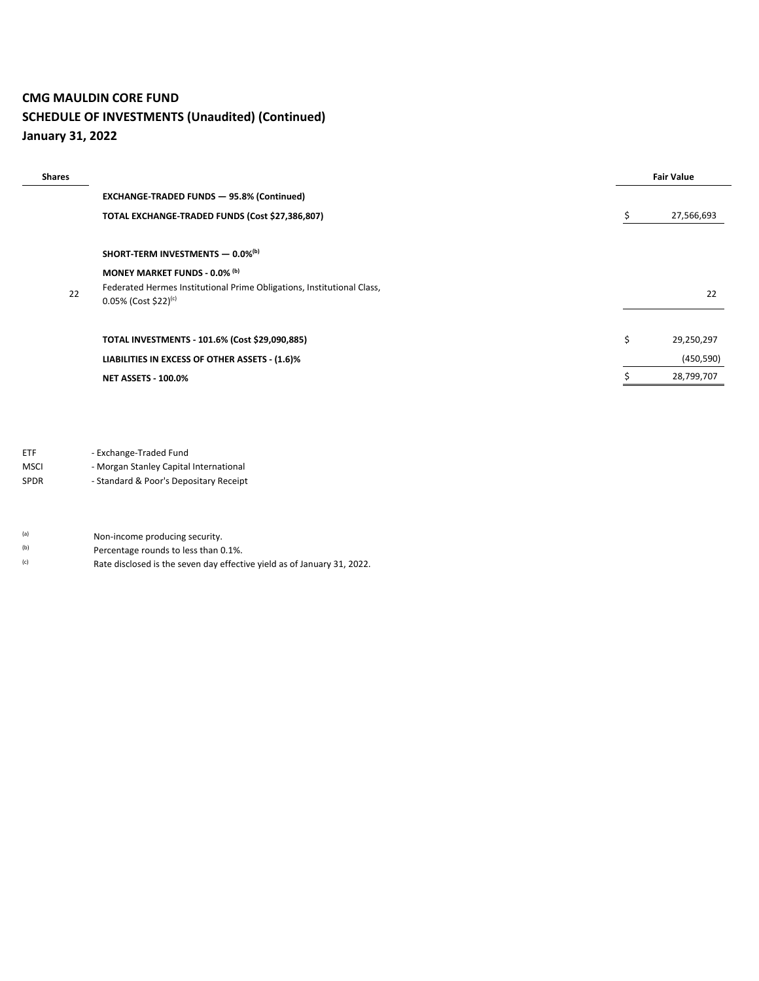## **CMG MAULDIN CORE FUND SCHEDULE OF INVESTMENTS (Unaudited) (Continued) January 31, 2022**

| <b>Shares</b> |                                                                                                | <b>Fair Value</b> |            |
|---------------|------------------------------------------------------------------------------------------------|-------------------|------------|
|               | <b>EXCHANGE-TRADED FUNDS - 95.8% (Continued)</b>                                               |                   |            |
|               | TOTAL EXCHANGE-TRADED FUNDS (Cost \$27,386,807)                                                | s                 | 27,566,693 |
|               |                                                                                                |                   |            |
|               | SHORT-TERM INVESTMENTS - 0.0%(b)                                                               |                   |            |
|               | MONEY MARKET FUNDS - 0.0% (b)                                                                  |                   |            |
| 22            | Federated Hermes Institutional Prime Obligations, Institutional Class,<br>0.05% (Cost \$22)(c) |                   | 22         |
|               |                                                                                                |                   |            |
|               | TOTAL INVESTMENTS - 101.6% (Cost \$29,090,885)                                                 | \$                | 29,250,297 |
|               | LIABILITIES IN EXCESS OF OTHER ASSETS - (1.6)%                                                 |                   | (450, 590) |
|               | <b>NET ASSETS - 100.0%</b>                                                                     |                   | 28,799,707 |

ETF - Exchange-Traded Fund

MSCI - Morgan Stanley Capital International

SPDR - Standard & Poor's Depositary Receipt

(a) Non-income producing security.

- (b) Percentage rounds to less than 0.1%.
- (c) Rate disclosed is the seven day effective yield as of January 31, 2022.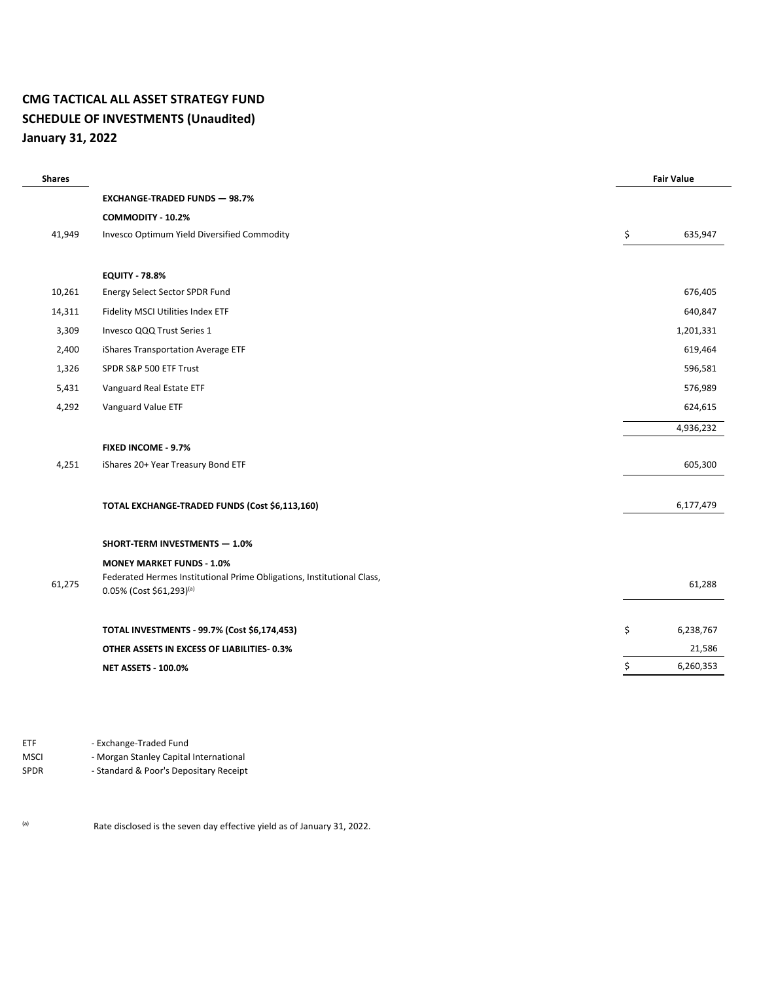## **CMG TACTICAL ALL ASSET STRATEGY FUND SCHEDULE OF INVESTMENTS (Unaudited) January 31, 2022**

Ĭ.

| <b>Shares</b> |                                                                                                    | <b>Fair Value</b> |
|---------------|----------------------------------------------------------------------------------------------------|-------------------|
|               | <b>EXCHANGE-TRADED FUNDS - 98.7%</b>                                                               |                   |
|               | COMMODITY - 10.2%                                                                                  |                   |
| 41,949        | Invesco Optimum Yield Diversified Commodity                                                        | \$<br>635,947     |
|               |                                                                                                    |                   |
|               | <b>EQUITY - 78.8%</b>                                                                              |                   |
| 10,261        | Energy Select Sector SPDR Fund                                                                     | 676,405           |
| 14,311        | Fidelity MSCI Utilities Index ETF                                                                  | 640,847           |
| 3,309         | Invesco QQQ Trust Series 1                                                                         | 1,201,331         |
| 2,400         | iShares Transportation Average ETF                                                                 | 619,464           |
| 1,326         | SPDR S&P 500 ETF Trust                                                                             | 596,581           |
| 5,431         | Vanguard Real Estate ETF                                                                           | 576,989           |
| 4,292         | Vanguard Value ETF                                                                                 | 624,615           |
|               |                                                                                                    | 4,936,232         |
|               | FIXED INCOME - 9.7%                                                                                |                   |
| 4,251         | iShares 20+ Year Treasury Bond ETF                                                                 | 605,300           |
|               |                                                                                                    |                   |
|               | TOTAL EXCHANGE-TRADED FUNDS (Cost \$6,113,160)                                                     | 6,177,479         |
|               |                                                                                                    |                   |
|               | SHORT-TERM INVESTMENTS - 1.0%                                                                      |                   |
|               | <b>MONEY MARKET FUNDS - 1.0%</b>                                                                   |                   |
| 61,275        | Federated Hermes Institutional Prime Obligations, Institutional Class,<br>0.05% (Cost \$61,293)(a) | 61,288            |
|               |                                                                                                    |                   |
|               | TOTAL INVESTMENTS - 99.7% (Cost \$6,174,453)                                                       | \$<br>6,238,767   |
|               | OTHER ASSETS IN EXCESS OF LIABILITIES-0.3%                                                         | 21,586            |
|               | <b>NET ASSETS - 100.0%</b>                                                                         | \$<br>6,260,353   |
|               |                                                                                                    |                   |

ETF - Exchange-Traded Fund<br>MSCI - Morgan Stanley Capital - Morgan Stanley Capital International

SPDR - Standard & Poor's Depositary Receipt

(a) Rate disclosed is the seven day effective yield as of January 31, 2022.